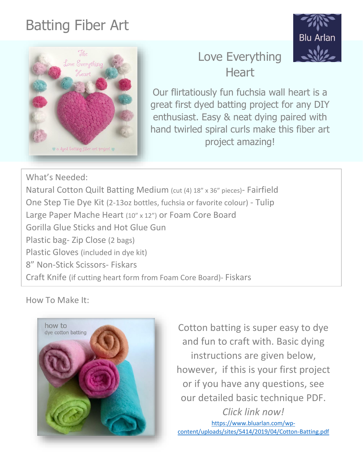# Batting Fiber Art





# Love Everything **Heart**

Our flirtatiously fun fuchsia wall heart is a great first dyed batting project for any DIY enthusiast. Easy & neat dying paired with hand twirled spiral curls make this fiber art project amazing!

What's Needed: Natural Cotton Quilt Batting Medium (cut (4) 18" x 36" pieces)- Fairfield One Step Tie Dye Kit (2-13oz bottles, fuchsia or favorite colour) - Tulip Large Paper Mache Heart (10" x 12") or Foam Core Board Gorilla Glue Sticks and Hot Glue Gun Plastic bag- Zip Close (2 bags) Plastic Gloves (included in dye kit) 8" Non-Stick Scissors- Fiskars Craft Knife (if cutting heart form from Foam Core Board)- Fiskars

How To Make It:



Cotton batting is super easy to dye and fun to craft with. Basic dying instructions are given below, however, if this is your first project or if you have any questions, see our detailed basic technique PDF. *Click link now!*

[https://www.bluarlan.com/wp](https://www.bluarlan.com/wp-content/uploads/sites/5414/2019/04/Cotton-Batting.pdf)[content/uploads/sites/5414/2019/04/Cotton-Batting.pdf](https://www.bluarlan.com/wp-content/uploads/sites/5414/2019/04/Cotton-Batting.pdf)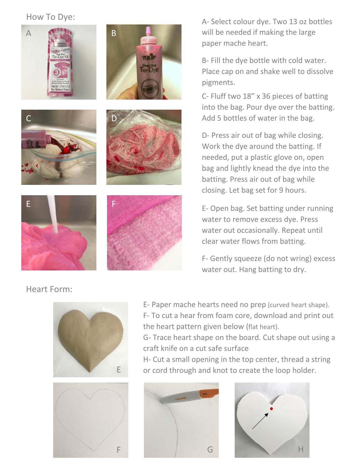#### How To Dye:



A- Select colour dye. Two 13 oz bottles will be needed if making the large paper mache heart.

B- Fill the dye bottle with cold water. Place cap on and shake well to dissolve pigments.

C- Fluff two 18" x 36 pieces of batting into the bag. Pour dye over the batting. Add 5 bottles of water in the bag.

D- Press air out of bag while closing. Work the dye around the batting. If needed, put a plastic glove on, open bag and lightly knead the dye into the batting. Press air out of bag while closing. Let bag set for 9 hours.

E- Open bag. Set batting under running water to remove excess dye. Press water out occasionally. Repeat until clear water flows from batting.

F- Gently squeeze (do not wring) excess water out. Hang batting to dry.

Heart Form:





E- Paper mache hearts need no prep (curved heart shape). F- To cut a hear from foam core, download and print out the heart pattern given below (flat heart).

G- Trace heart shape on the board. Cut shape out using a craft knife on a cut safe surface

H- Cut a small opening in the top center, thread a string or cord through and knot to create the loop holder.



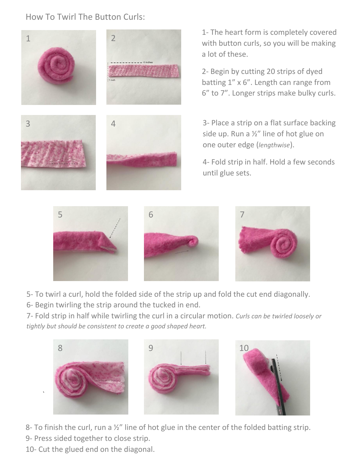### How To Twirl The Button Curls:



1- The heart form is completely covered with button curls, so you will be making a lot of these.

2- Begin by cutting 20 strips of dyed batting 1" x 6". Length can range from 6" to 7". Longer strips make bulky curls.

3- Place a strip on a flat surface backing side up. Run a ½" line of hot glue on one outer edge (*lengthwise*).

4- Fold strip in half. Hold a few seconds until glue sets.



5- To twirl a curl, hold the folded side of the strip up and fold the cut end diagonally.

6- Begin twirling the strip around the tucked in end.

7- Fold strip in half while twirling the curl in a circular motion. *Curls can be twirled loosely or tightly but should be consistent to create a good shaped heart.*



8- To finish the curl, run a 1/2" line of hot glue in the center of the folded batting strip. 9- Press sided together to close strip.

10- Cut the glued end on the diagonal.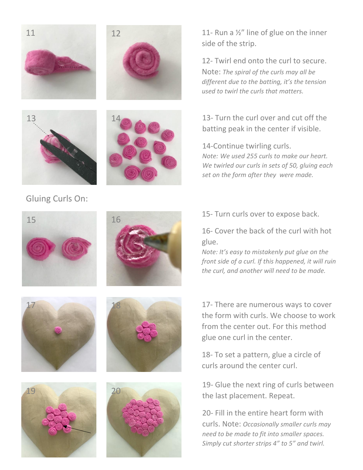



14



## Gluing Curls On:

11- Run a ½" line of glue on the inner side of the strip.

12- Twirl end onto the curl to secure. Note: *The spiral of the curls may all be different due to the batting, it's the tension used to twirl the curls that matters.*

13- Turn the curl over and cut off the batting peak in the center if visible.

14-Continue twirling curls. *Note: We used 255 curls to make our heart. We twirled our curls in sets of 50, gluing each set on the form after they were made.*





17



15- Turn curls over to expose back.

16- Cover the back of the curl with hot glue.

*Note: It's easy to mistakenly put glue on the front side of a curl. If this happened, it will ruin the curl, and another will need to be made.*

17- There are numerous ways to cover the form with curls. We choose to work from the center out. For this method glue one curl in the center.

18- To set a pattern, glue a circle of curls around the center curl.

19- Glue the next ring of curls between the last placement. Repeat.

20- Fill in the entire heart form with curls. Note: *Occasionally smaller curls may need to be made to fit into smaller spaces. Simply cut shorter strips 4" to 5" and twirl.*



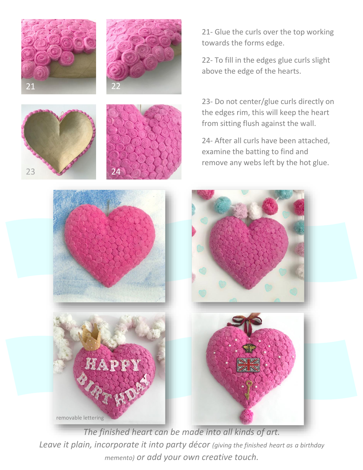







21- Glue the curls over the top working towards the forms edge.

22- To fill in the edges glue curls slight above the edge of the hearts.

23- Do not center/glue curls directly on the edges rim, this will keep the heart from sitting flush against the wall.

24- After all curls have been attached, examine the batting to find and remove any webs left by the hot glue.



*The finished heart can be made into all kinds of art. Leave it plain, incorporate it into party décor (giving the finished heart as a birthday memento) or add your own creative touch.*